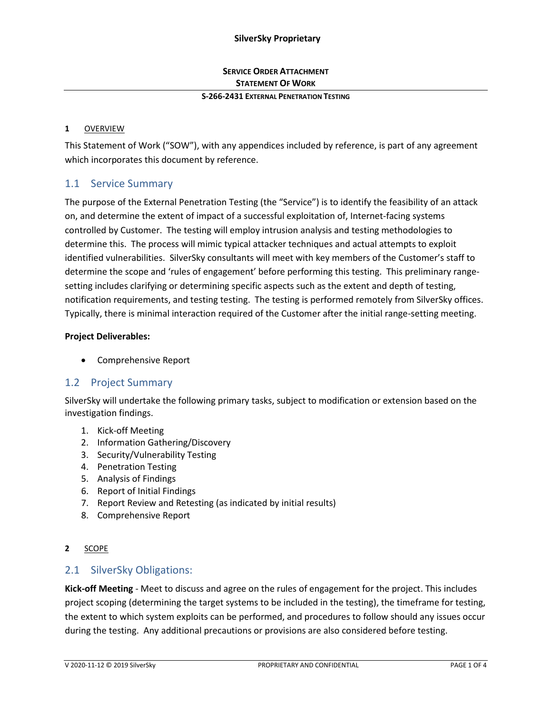# **SERVICE ORDER ATTACHMENT STATEMENT OF WORK**

#### **S-266-2431 EXTERNAL PENETRATION TESTING**

#### **1** OVERVIEW

This Statement of Work ("SOW"), with any appendices included by reference, is part of any agreement which incorporates this document by reference.

## 1.1 Service Summary

The purpose of the External Penetration Testing (the "Service") is to identify the feasibility of an attack on, and determine the extent of impact of a successful exploitation of, Internet-facing systems controlled by Customer. The testing will employ intrusion analysis and testing methodologies to determine this. The process will mimic typical attacker techniques and actual attempts to exploit identified vulnerabilities. SilverSky consultants will meet with key members of the Customer's staff to determine the scope and 'rules of engagement' before performing this testing. This preliminary rangesetting includes clarifying or determining specific aspects such as the extent and depth of testing, notification requirements, and testing testing. The testing is performed remotely from SilverSky offices. Typically, there is minimal interaction required of the Customer after the initial range-setting meeting.

#### **Project Deliverables:**

• Comprehensive Report

## 1.2 Project Summary

SilverSky will undertake the following primary tasks, subject to modification or extension based on the investigation findings.

- 1. Kick-off Meeting
- 2. Information Gathering/Discovery
- 3. Security/Vulnerability Testing
- 4. Penetration Testing
- 5. Analysis of Findings
- 6. Report of Initial Findings
- 7. Report Review and Retesting (as indicated by initial results)
- 8. Comprehensive Report

#### **2** SCOPE

#### 2.1 SilverSky Obligations:

**Kick-off Meeting** - Meet to discuss and agree on the rules of engagement for the project. This includes project scoping (determining the target systems to be included in the testing), the timeframe for testing, the extent to which system exploits can be performed, and procedures to follow should any issues occur during the testing. Any additional precautions or provisions are also considered before testing.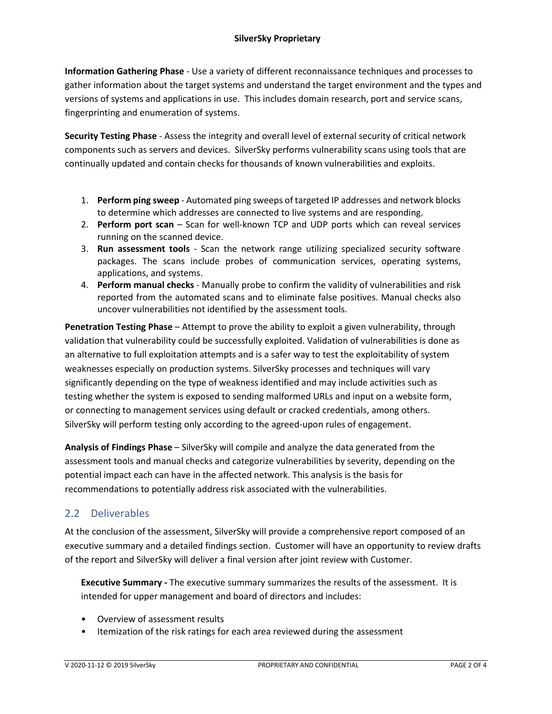**Information Gathering Phase** - Use a variety of different reconnaissance techniques and processes to gather information about the target systems and understand the target environment and the types and versions of systems and applications in use. This includes domain research, port and service scans, fingerprinting and enumeration of systems.

**Security Testing Phase** - Assess the integrity and overall level of external security of critical network components such as servers and devices. SilverSky performs vulnerability scans using tools that are continually updated and contain checks for thousands of known vulnerabilities and exploits.

- 1. **Perform ping sweep** Automated ping sweeps of targeted IP addresses and network blocks to determine which addresses are connected to live systems and are responding.
- 2. **Perform port scan** Scan for well-known TCP and UDP ports which can reveal services running on the scanned device.
- 3. **Run assessment tools** Scan the network range utilizing specialized security software packages. The scans include probes of communication services, operating systems, applications, and systems.
- 4. **Perform manual checks** Manually probe to confirm the validity of vulnerabilities and risk reported from the automated scans and to eliminate false positives. Manual checks also uncover vulnerabilities not identified by the assessment tools.

**Penetration Testing Phase** – Attempt to prove the ability to exploit a given vulnerability, through validation that vulnerability could be successfully exploited. Validation of vulnerabilities is done as an alternative to full exploitation attempts and is a safer way to test the exploitability of system weaknesses especially on production systems. SilverSky processes and techniques will vary significantly depending on the type of weakness identified and may include activities such as testing whether the system is exposed to sending malformed URLs and input on a website form, or connecting to management services using default or cracked credentials, among others. SilverSky will perform testing only according to the agreed-upon rules of engagement.

**Analysis of Findings Phase** – SilverSky will compile and analyze the data generated from the assessment tools and manual checks and categorize vulnerabilities by severity, depending on the potential impact each can have in the affected network. This analysis is the basis for recommendations to potentially address risk associated with the vulnerabilities.

# 2.2 Deliverables

At the conclusion of the assessment, SilverSky will provide a comprehensive report composed of an executive summary and a detailed findings section. Customer will have an opportunity to review drafts of the report and SilverSky will deliver a final version after joint review with Customer.

**Executive Summary -** The executive summary summarizes the results of the assessment. It is intended for upper management and board of directors and includes:

- Overview of assessment results
- Itemization of the risk ratings for each area reviewed during the assessment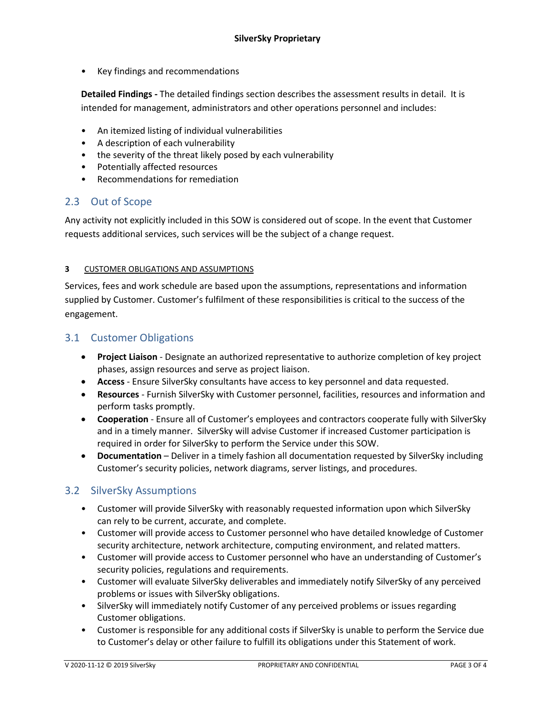• Key findings and recommendations

**Detailed Findings -** The detailed findings section describes the assessment results in detail. It is intended for management, administrators and other operations personnel and includes:

- An itemized listing of individual vulnerabilities
- A description of each vulnerability
- the severity of the threat likely posed by each vulnerability
- Potentially affected resources
- Recommendations for remediation

## 2.3 Out of Scope

Any activity not explicitly included in this SOW is considered out of scope. In the event that Customer requests additional services, such services will be the subject of a change request.

#### **3** CUSTOMER OBLIGATIONS AND ASSUMPTIONS

Services, fees and work schedule are based upon the assumptions, representations and information supplied by Customer. Customer's fulfilment of these responsibilities is critical to the success of the engagement.

### 3.1 Customer Obligations

- **Project Liaison** Designate an authorized representative to authorize completion of key project phases, assign resources and serve as project liaison.
- **Access**  Ensure SilverSky consultants have access to key personnel and data requested.
- **Resources** Furnish SilverSky with Customer personnel, facilities, resources and information and perform tasks promptly.
- **Cooperation** Ensure all of Customer's employees and contractors cooperate fully with SilverSky and in a timely manner. SilverSky will advise Customer if increased Customer participation is required in order for SilverSky to perform the Service under this SOW.
- **Documentation** Deliver in a timely fashion all documentation requested by SilverSky including Customer's security policies, network diagrams, server listings, and procedures.

## 3.2 SilverSky Assumptions

- Customer will provide SilverSky with reasonably requested information upon which SilverSky can rely to be current, accurate, and complete.
- Customer will provide access to Customer personnel who have detailed knowledge of Customer security architecture, network architecture, computing environment, and related matters.
- Customer will provide access to Customer personnel who have an understanding of Customer's security policies, regulations and requirements.
- Customer will evaluate SilverSky deliverables and immediately notify SilverSky of any perceived problems or issues with SilverSky obligations.
- SilverSky will immediately notify Customer of any perceived problems or issues regarding Customer obligations.
- Customer is responsible for any additional costs if SilverSky is unable to perform the Service due to Customer's delay or other failure to fulfill its obligations under this Statement of work.